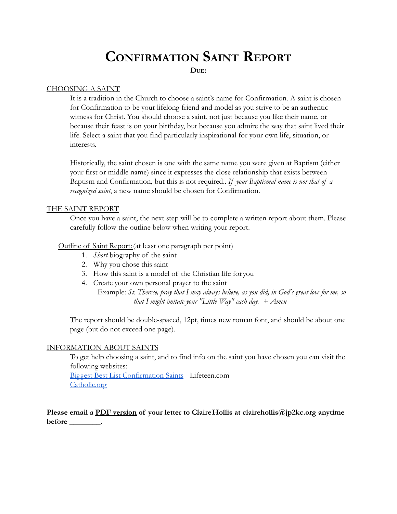# **CONFIRMATION SAINT REPORT**

**DUE:**

## CHOOSING A SAINT

It is a tradition in the Church to choose a saint's name for Confirmation. A saint is chosen for Confirmation to be your lifelong friend and model as you strive to be an authentic witness for Christ. You should choose a saint, not just because you like their name, or because their feast is on your birthday, but because you admire the way that saint lived their life. Select a saint that you find particularly inspirational for your own life, situation, or interests.

Historically, the saint chosen is one with the same name you were given at Baptism (either your first or middle name) since it expresses the close relationship that exists between Baptism and Confirmation, but this is not required.. *If your Baptismal name is not that of a recognized saint*, a new name should be chosen for Confirmation.

#### THE SAINT REPORT

Once you have a saint, the next step will be to complete a written report about them. Please carefully follow the outline below when writing your report.

#### Outline of Saint Report:(at least one paragraph per point)

- 1. *Short* biography of the saint
- 2. Why you chose this saint
- 3. How this saint is a model of the Christian life for you
- 4. Create your own personal prayer to the saint

Example: *St. Therese, pray that I may always believe, as you did, in God's great love for me, so that I might imitate your "Little Way" each day. + Amen*

The report should be double-spaced, 12pt, times new roman font, and should be about one page (but do not exceed one page).

#### INFORMATION ABOUT SAINTS

To get help choosing a saint, and to find info on the saint you have chosen you can visit the following websites: [Biggest Best List Confirmation Saints](https://lifeteen.com/blog/biggest-best-list-confirmation-saints-guys-girls/) - Lifeteen.com

[Catholic.org](https://www.catholic.org)

**Please email a PDF version of your letter to ClaireHollis at clairehollis@jp2kc.org anytime before \_\_\_\_\_\_\_\_.**